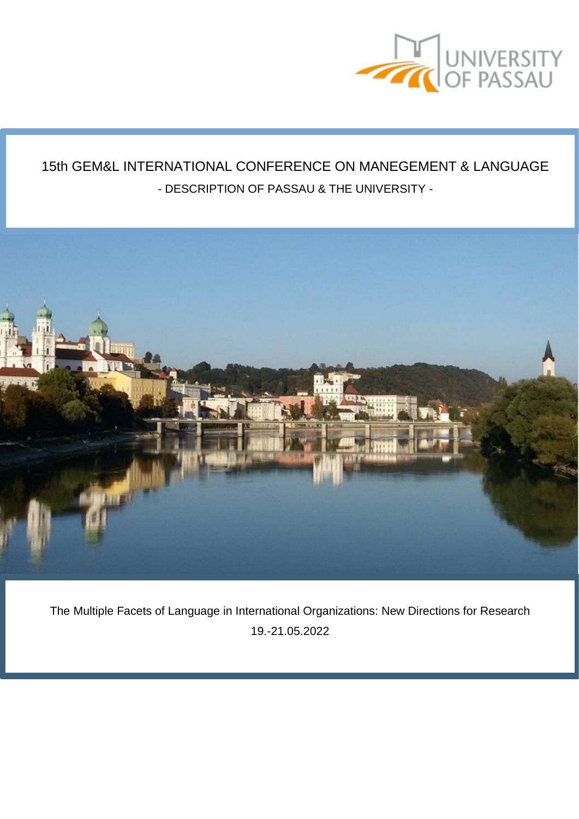

# 15th GEM&L INTERNATIONAL CONFERENCE ON MANEGEMENT & LANGUAGE - DESCRIPTION OF PASSAU & THE UNIVERSITY -



The Multiple Facets of Language in International Organizations: New Directions for Research 19.-21.05.2022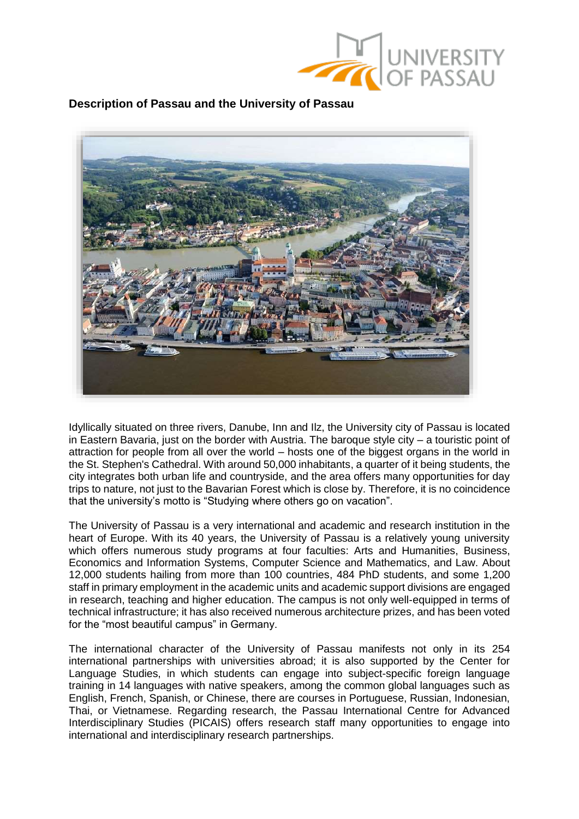

**Description of Passau and the University of Passau**



Idyllically situated on three rivers, Danube, Inn and Ilz, the University city of Passau is located in Eastern Bavaria, just on the border with Austria. The baroque style city – a touristic point of attraction for people from all over the world – hosts one of the biggest organs in the world in the St. Stephen's Cathedral. With around 50,000 inhabitants, a quarter of it being students, the city integrates both urban life and countryside, and the area offers many opportunities for day trips to nature, not just to the Bavarian Forest which is close by. Therefore, it is no coincidence that the university's motto is "Studying where others go on vacation".

The University of Passau is a very international and academic and research institution in the heart of Europe. With its 40 years, the University of Passau is a relatively young university which offers numerous study programs at four faculties: Arts and Humanities, Business, Economics and Information Systems, Computer Science and Mathematics, and Law. About 12,000 students hailing from more than 100 countries, 484 PhD students, and some 1,200 staff in primary employment in the academic units and academic support divisions are engaged in research, teaching and higher education. The campus is not only well-equipped in terms of technical infrastructure; it has also received numerous architecture prizes, and has been voted for the "most beautiful campus" in Germany.

The international character of the University of Passau manifests not only in its 254 international partnerships with universities abroad; it is also supported by the Center for Language Studies, in which students can engage into subject-specific foreign language training in 14 languages with native speakers, among the common global languages such as English, French, Spanish, or Chinese, there are courses in Portuguese, Russian, Indonesian, Thai, or Vietnamese. Regarding research, the Passau International Centre for Advanced Interdisciplinary Studies (PICAIS) offers research staff many opportunities to engage into international and interdisciplinary research partnerships.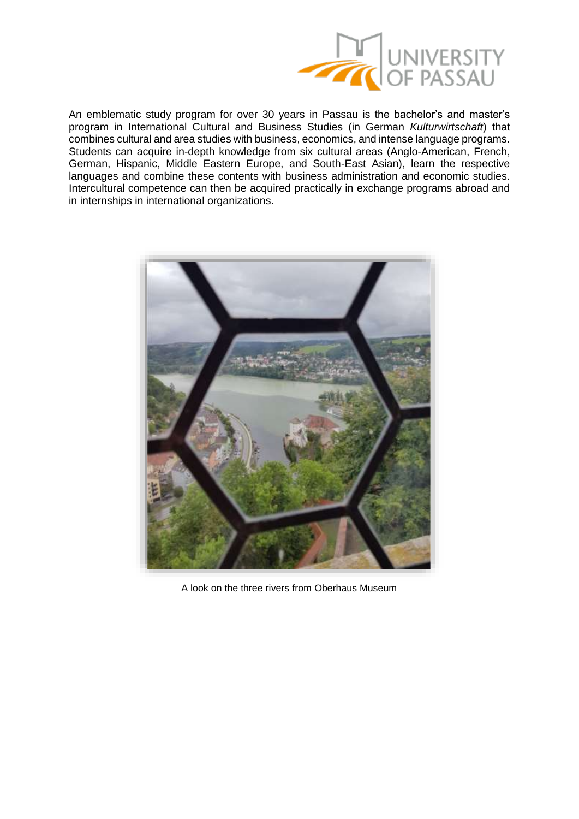

An emblematic study program for over 30 years in Passau is the bachelor's and master's program in International Cultural and Business Studies (in German *Kulturwirtschaft*) that combines cultural and area studies with business, economics, and intense language programs. Students can acquire in-depth knowledge from six cultural areas (Anglo-American, French, German, Hispanic, Middle Eastern Europe, and South-East Asian), learn the respective languages and combine these contents with business administration and economic studies. Intercultural competence can then be acquired practically in exchange programs abroad and in internships in international organizations.



A look on the three rivers from Oberhaus Museum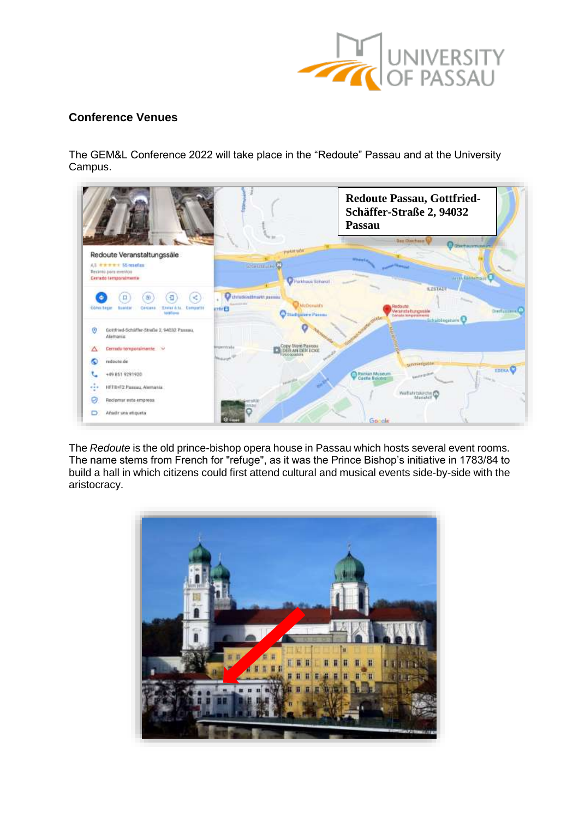

# **Conference Venues**

The GEM&L Conference 2022 will take place in the "Redoute" Passau and at the University Campus.



The *Redoute* is the old prince-bishop opera house in Passau which hosts several event rooms. The name stems from French for "refuge", as it was the Prince Bishop's initiative in 1783/84 to build a hall in which citizens could first attend cultural and musical events side-by-side with the aristocracy.

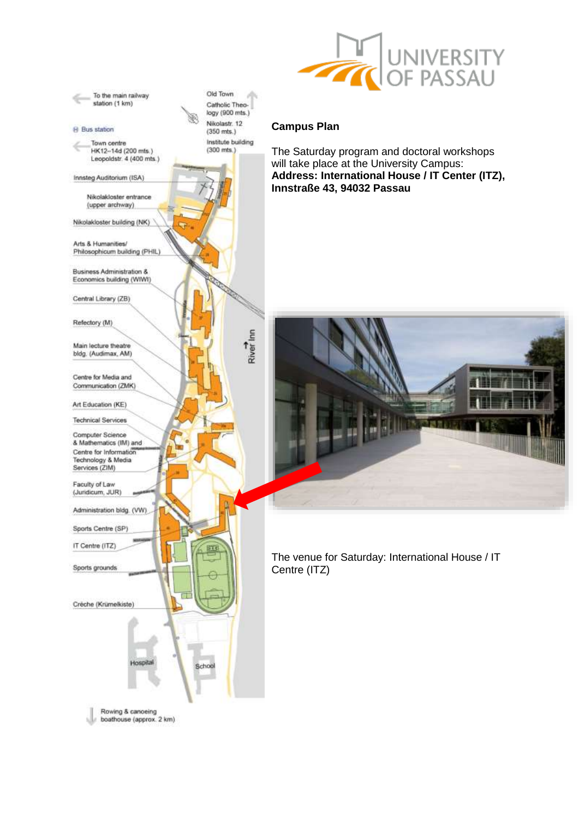

## **Campus Plan**

The Saturday program and doctoral workshops will take place at the University Campus: **Address: International House / IT Center (ITZ), Innstraße 43, 94032 Passau**



The venue for Saturday: International House / IT Centre (ITZ)

Rowing & canoeing<br>boathouse (approx. 2 km)

itin

Economics building (WIWI)

Business Administration &

Arts & Humanities/ Philosophicum building (PHIL)

To the main railway station (1 km)

HK12-14d (200 mts.)

Nikolakloster entrance (upper archway) Nikolakloster building (NK)

Leopoldstr. 4 (400 mts.)

**Bus station** 

۷

Town centre

Innsteg Auditorium (ISA)

Central Library (ZB)

Refectory (M)

Main lecture theatre bldg. (Audimax, AM)

Centre for Media and Communication (ZMK)

Art Education (KE)

**Technical Services** 

Computer Science & Mathematics (IM) and Centre for Information Technology & Media<br>Services (ZIM)

Faculty of Law (Juridicum, JUR)

Administration bldg. (VW)

Sports Centre (SP)

IT Centre (ITZ)

Sports grounds

Créche (Krümelkiste)

logy (900 mts.) Nikolastr. 12  $(350$  mts.) Institute building  $(300$  mts.)

Catholic Theo-

Old Town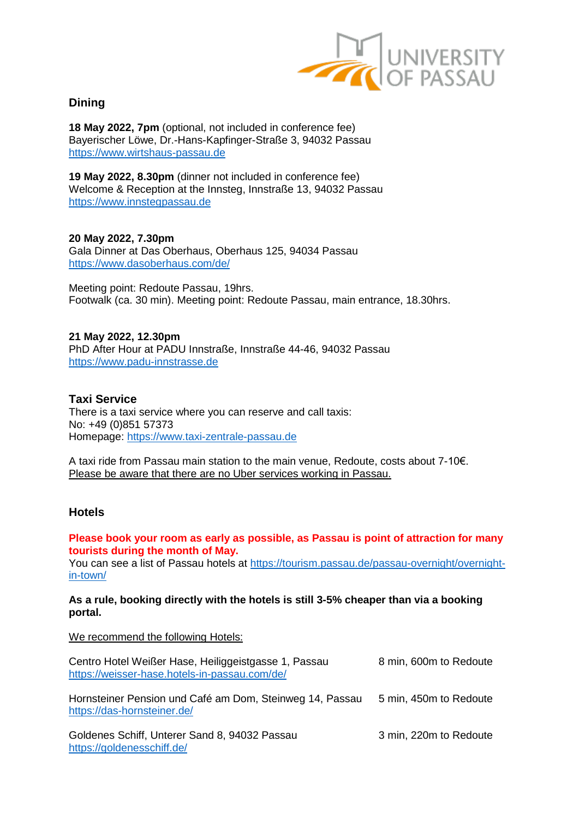

# **Dining**

**18 May 2022, 7pm** (optional, not included in conference fee) Bayerischer Löwe, Dr.-Hans-Kapfinger-Straße 3, 94032 Passau [https://www.wirtshaus-passau.de](https://www.wirtshaus-passau.de/)

**19 May 2022, 8.30pm** (dinner not included in conference fee) Welcome & Reception at the Innsteg, Innstraße 13, 94032 Passau [https://www.innstegpassau.de](https://www.innstegpassau.de/)

**20 May 2022, 7.30pm** Gala Dinner at Das Oberhaus, Oberhaus 125, 94034 Passau <https://www.dasoberhaus.com/de/>

Meeting point: Redoute Passau, 19hrs. Footwalk (ca. 30 min). Meeting point: Redoute Passau, main entrance, 18.30hrs.

**21 May 2022, 12.30pm** PhD After Hour at PADU Innstraße, Innstraße 44-46, 94032 Passau [https://www.padu-innstrasse.de](https://www.padu-innstrasse.de/)

## **Taxi Service**

There is a taxi service where you can reserve and call taxis: No: +49 (0)851 57373 Homepage: [https://www.taxi-zentrale-passau.de](https://www.taxi-zentrale-passau.de/)

A taxi ride from Passau main station to the main venue, Redoute, costs about 7-10€. Please be aware that there are no Uber services working in Passau.

## **Hotels**

## **Please book your room as early as possible, as Passau is point of attraction for many tourists during the month of May.**

You can see a list of Passau hotels at [https://tourism.passau.de/passau-overnight/overnight](https://tourism.passau.de/passau-overnight/overnight-in-town/)[in-town/](https://tourism.passau.de/passau-overnight/overnight-in-town/)

#### **As a rule, booking directly with the hotels is still 3-5% cheaper than via a booking portal.**

We recommend the following Hotels:

| Centro Hotel Weißer Hase, Heiliggeistgasse 1, Passau<br>https://weisser-hase.hotels-in-passau.com/de/ | 8 min, 600m to Redoute |
|-------------------------------------------------------------------------------------------------------|------------------------|
| Hornsteiner Pension und Café am Dom, Steinweg 14, Passau<br>https://das-hornsteiner.de/               | 5 min, 450m to Redoute |
| Goldenes Schiff, Unterer Sand 8, 94032 Passau<br>https://goldenesschiff.de/                           | 3 min, 220m to Redoute |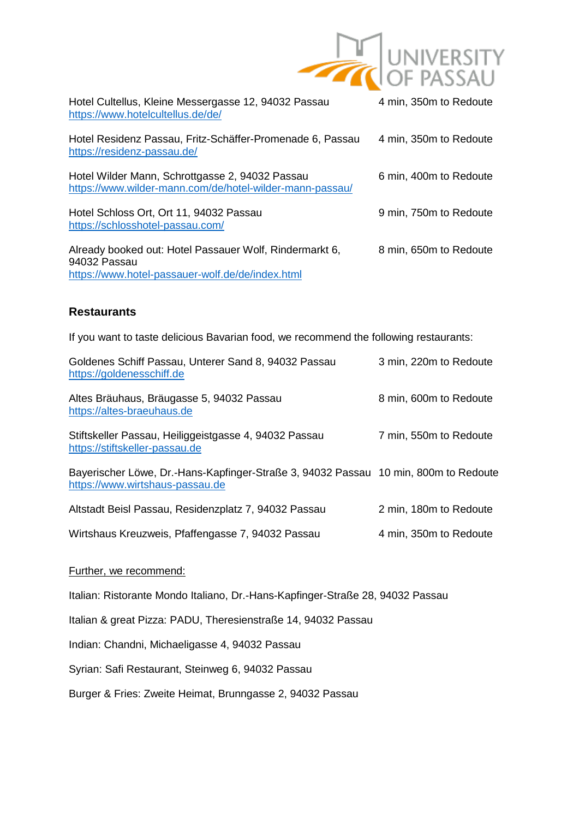

| Hotel Cultellus, Kleine Messergasse 12, 94032 Passau<br>https://www.hotelcultellus.de/de/                                   | 4 min, 350m to Redoute |
|-----------------------------------------------------------------------------------------------------------------------------|------------------------|
| Hotel Residenz Passau, Fritz-Schäffer-Promenade 6, Passau<br>https://residenz-passau.de/                                    | 4 min, 350m to Redoute |
| Hotel Wilder Mann, Schrottgasse 2, 94032 Passau<br>https://www.wilder-mann.com/de/hotel-wilder-mann-passau/                 | 6 min, 400m to Redoute |
| Hotel Schloss Ort, Ort 11, 94032 Passau<br>https://schlosshotel-passau.com/                                                 | 9 min, 750m to Redoute |
| Already booked out: Hotel Passauer Wolf, Rindermarkt 6,<br>94032 Passau<br>https://www.hotel-passauer-wolf.de/de/index.html | 8 min, 650m to Redoute |

# **Restaurants**

If you want to taste delicious Bavarian food, we recommend the following restaurants:

| Goldenes Schiff Passau, Unterer Sand 8, 94032 Passau<br>https://goldenesschiff.de                                      | 3 min, 220m to Redoute |
|------------------------------------------------------------------------------------------------------------------------|------------------------|
| Altes Bräuhaus, Bräugasse 5, 94032 Passau<br>https://altes-braeuhaus.de                                                | 8 min, 600m to Redoute |
| Stiftskeller Passau, Heiliggeistgasse 4, 94032 Passau<br>https://stiftskeller-passau.de                                | 7 min, 550m to Redoute |
| Bayerischer Löwe, Dr.-Hans-Kapfinger-Straße 3, 94032 Passau 10 min, 800m to Redoute<br>https://www.wirtshaus-passau.de |                        |
| Altstadt Beisl Passau, Residenzplatz 7, 94032 Passau                                                                   | 2 min, 180m to Redoute |
| Wirtshaus Kreuzweis, Pfaffengasse 7, 94032 Passau                                                                      | 4 min, 350m to Redoute |

Further, we recommend:

Italian: Ristorante Mondo Italiano, Dr.-Hans-Kapfinger-Straße 28, 94032 Passau

Italian & great Pizza: PADU, Theresienstraße 14, 94032 Passau

Indian: Chandni, Michaeligasse 4, 94032 Passau

Syrian: Safi Restaurant, Steinweg 6, 94032 Passau

Burger & Fries: Zweite Heimat, Brunngasse 2, 94032 Passau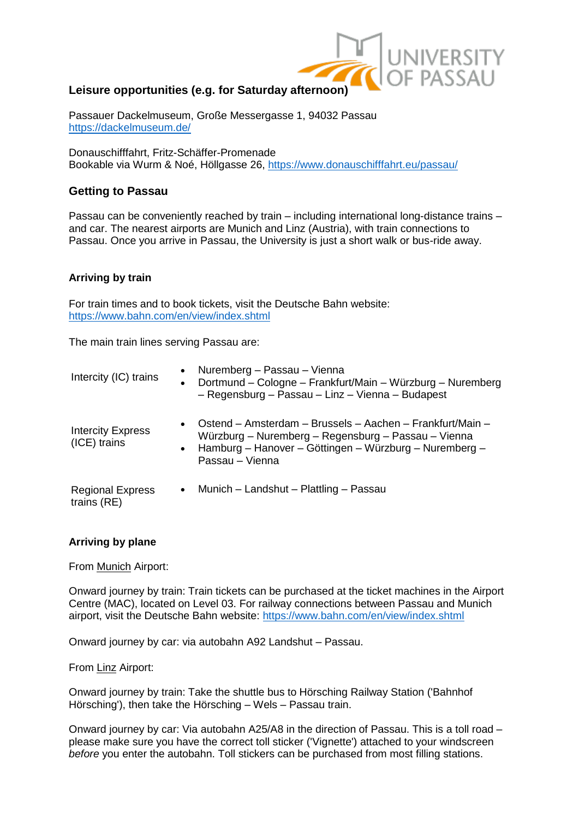

# **Leisure opportunities (e.g. for Saturday afternoon)**

Passauer Dackelmuseum, Große Messergasse 1, 94032 Passau <https://dackelmuseum.de/>

Donauschifffahrt, Fritz-Schäffer-Promenade Bookable via Wurm & Noé, Höllgasse 26,<https://www.donauschifffahrt.eu/passau/>

## **Getting to Passau**

Passau can be conveniently reached by train – including international long-distance trains – and car. The nearest airports are Munich and Linz (Austria), with train connections to Passau. Once you arrive in Passau, the University is just a short walk or bus-ride away.

#### **Arriving by train**

For train times and to book tickets, visit the Deutsche Bahn website: <https://www.bahn.com/en/view/index.shtml>

The main train lines serving Passau are:

| Intercity (IC) trains                    | $\bullet$<br>$\bullet$ | Nuremberg - Passau - Vienna<br>Dortmund – Cologne – Frankfurt/Main – Würzburg – Nuremberg<br>- Regensburg - Passau - Linz - Vienna - Budapest                                                 |
|------------------------------------------|------------------------|-----------------------------------------------------------------------------------------------------------------------------------------------------------------------------------------------|
| <b>Intercity Express</b><br>(ICE) trains | $\bullet$<br>$\bullet$ | Ostend – Amsterdam – Brussels – Aachen – Frankfurt/Main –<br>Würzburg – Nuremberg – Regensburg – Passau – Vienna<br>Hamburg – Hanover – Göttingen – Würzburg – Nuremberg –<br>Passau – Vienna |
| <b>Regional Express</b><br>trains (RE)   |                        | • Munich – Landshut – Plattling – Passau                                                                                                                                                      |

#### **Arriving by plane**

From Munich Airport:

Onward journey by train: Train tickets can be purchased at the ticket machines in the Airport Centre (MAC), located on Level 03. For railway connections between Passau and Munich airport, visit the Deutsche Bahn website:<https://www.bahn.com/en/view/index.shtml>

Onward journey by car: via autobahn A92 Landshut – Passau.

From Linz Airport:

Onward journey by train: Take the shuttle bus to Hörsching Railway Station ('Bahnhof Hörsching'), then take the Hörsching – Wels – Passau train.

Onward journey by car: Via autobahn A25/A8 in the direction of Passau. This is a toll road – please make sure you have the correct toll sticker ('Vignette') attached to your windscreen *before* you enter the autobahn. Toll stickers can be purchased from most filling stations.